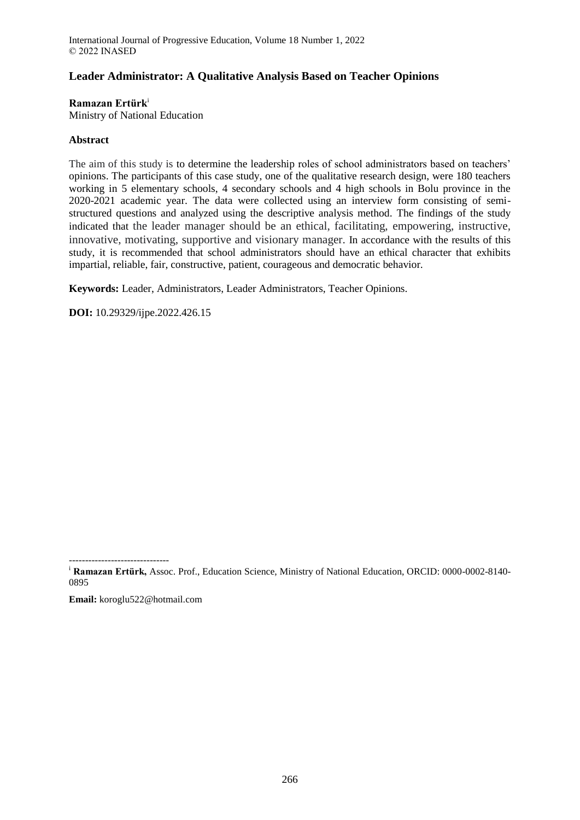# **Leader Administrator: A Qualitative Analysis Based on Teacher Opinions**

# **Ramazan Ertürk**<sup>i</sup>

Ministry of National Education

## **Abstract**

The aim of this study is to determine the leadership roles of school administrators based on teachers' opinions. The participants of this case study, one of the qualitative research design, were 180 teachers working in 5 elementary schools, 4 secondary schools and 4 high schools in Bolu province in the 2020-2021 academic year. The data were collected using an interview form consisting of semistructured questions and analyzed using the descriptive analysis method. The findings of the study indicated that the leader manager should be an ethical, facilitating, empowering, instructive, innovative, motivating, supportive and visionary manager. In accordance with the results of this study, it is recommended that school administrators should have an ethical character that exhibits impartial, reliable, fair, constructive, patient, courageous and democratic behavior.

**Keywords:** Leader, Administrators, Leader Administrators, Teacher Opinions.

**DOI:** 10.29329/ijpe.2022.426.15

-------------------------------

**Email:** koroglu522@hotmail.com

<sup>i</sup> **Ramazan Ertürk,** Assoc. Prof., Education Science, Ministry of National Education, ORCID: 0000-0002-8140- 0895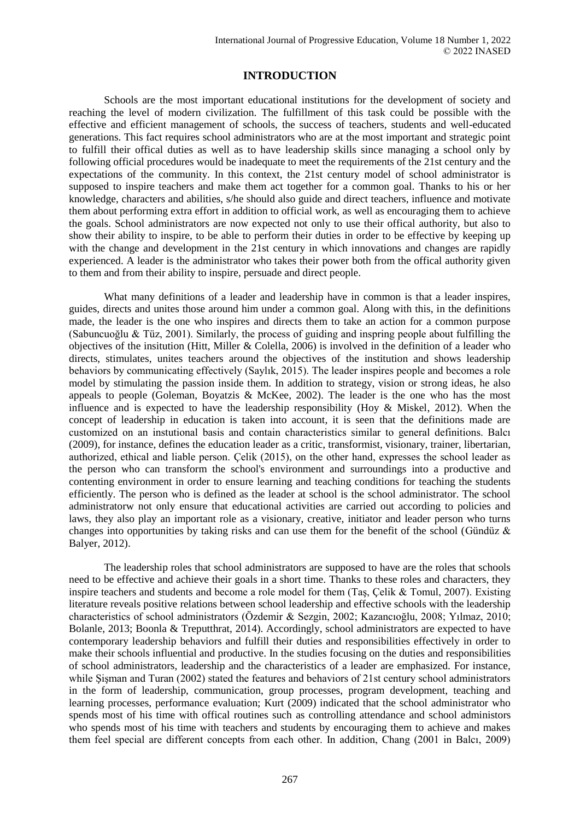# **INTRODUCTION**

Schools are the most important educational institutions for the development of society and reaching the level of modern civilization. The fulfillment of this task could be possible with the effective and efficient management of schools, the success of teachers, students and well-educated generations. This fact requires school administrators who are at the most important and strategic point to fulfill their offical duties as well as to have leadership skills since managing a school only by following official procedures would be inadequate to meet the requirements of the 21st century and the expectations of the community. In this context, the 21st century model of school administrator is supposed to inspire teachers and make them act together for a common goal. Thanks to his or her knowledge, characters and abilities, s/he should also guide and direct teachers, influence and motivate them about performing extra effort in addition to official work, as well as encouraging them to achieve the goals. School administrators are now expected not only to use their offical authority, but also to show their ability to inspire, to be able to perform their duties in order to be effective by keeping up with the change and development in the 21st century in which innovations and changes are rapidly experienced. A leader is the administrator who takes their power both from the offical authority given to them and from their ability to inspire, persuade and direct people.

What many definitions of a leader and leadership have in common is that a leader inspires, guides, directs and unites those around him under a common goal. Along with this, in the definitions made, the leader is the one who inspires and directs them to take an action for a common purpose (Sabuncuoğlu & Tüz, 2001). Similarly, the process of guiding and inspring people about fulfilling the objectives of the insitution (Hitt, Miller & Colella, 2006) is involved in the definition of a leader who directs, stimulates, unites teachers around the objectives of the institution and shows leadership behaviors by communicating effectively (Saylık, 2015). The leader inspires people and becomes a role model by stimulating the passion inside them. In addition to strategy, vision or strong ideas, he also appeals to people (Goleman, Boyatzis & McKee, 2002). The leader is the one who has the most influence and is expected to have the leadership responsibility (Hoy & Miskel, 2012). When the concept of leadership in education is taken into account, it is seen that the definitions made are customized on an instutional basis and contain characteristics similar to general definitions. Balcı (2009), for instance, defines the education leader as a critic, transformist, visionary, trainer, libertarian, authorized, ethical and liable person. Çelik (2015), on the other hand, expresses the school leader as the person who can transform the school's environment and surroundings into a productive and contenting environment in order to ensure learning and teaching conditions for teaching the students efficiently. The person who is defined as the leader at school is the school administrator. The school administratorw not only ensure that educational activities are carried out according to policies and laws, they also play an important role as a visionary, creative, initiator and leader person who turns changes into opportunities by taking risks and can use them for the benefit of the school (Gündüz & Balyer, 2012).

The leadership roles that school administrators are supposed to have are the roles that schools need to be effective and achieve their goals in a short time. Thanks to these roles and characters, they inspire teachers and students and become a role model for them (Tas, Celik & Tomul, 2007). Existing literature reveals positive relations between school leadership and effective schools with the leadership characteristics of school administrators (Özdemir & Sezgin, 2002; Kazancıoğlu, 2008; Yılmaz, 2010; Bolanle, 2013; Boonla & Treputthrat, 2014). Accordingly, school administrators are expected to have contemporary leadership behaviors and fulfill their duties and responsibilities effectively in order to make their schools influential and productive. In the studies focusing on the duties and responsibilities of school administrators, leadership and the characteristics of a leader are emphasized. For instance, while Sisman and Turan (2002) stated the features and behaviors of 21st century school administrators in the form of leadership, communication, group processes, program development, teaching and learning processes, performance evaluation; Kurt (2009) indicated that the school administrator who spends most of his time with offical routines such as controlling attendance and school administors who spends most of his time with teachers and students by encouraging them to achieve and makes them feel special are different concepts from each other. In addition, Chang (2001 in Balcı, 2009)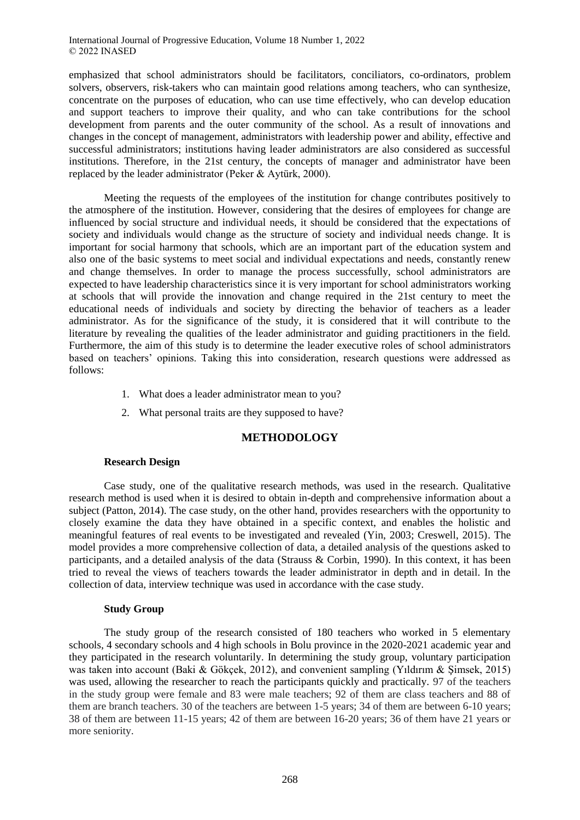emphasized that school administrators should be facilitators, conciliators, co-ordinators, problem solvers, observers, risk-takers who can maintain good relations among teachers, who can synthesize, concentrate on the purposes of education, who can use time effectively, who can develop education and support teachers to improve their quality, and who can take contributions for the school development from parents and the outer community of the school. As a result of innovations and changes in the concept of management, administrators with leadership power and ability, effective and successful administrators; institutions having leader administrators are also considered as successful institutions. Therefore, in the 21st century, the concepts of manager and administrator have been replaced by the leader administrator (Peker & Aytürk, 2000).

Meeting the requests of the employees of the institution for change contributes positively to the atmosphere of the institution. However, considering that the desires of employees for change are influenced by social structure and individual needs, it should be considered that the expectations of society and individuals would change as the structure of society and individual needs change. It is important for social harmony that schools, which are an important part of the education system and also one of the basic systems to meet social and individual expectations and needs, constantly renew and change themselves. In order to manage the process successfully, school administrators are expected to have leadership characteristics since it is very important for school administrators working at schools that will provide the innovation and change required in the 21st century to meet the educational needs of individuals and society by directing the behavior of teachers as a leader administrator. As for the significance of the study, it is considered that it will contribute to the literature by revealing the qualities of the leader administrator and guiding practitioners in the field. Furthermore, the aim of this study is to determine the leader executive roles of school administrators based on teachers' opinions. Taking this into consideration, research questions were addressed as follows:

- 1. What does a leader administrator mean to you?
- 2. What personal traits are they supposed to have?

#### **METHODOLOGY**

#### **Research Design**

Case study, one of the qualitative research methods, was used in the research. Qualitative research method is used when it is desired to obtain in-depth and comprehensive information about a subject (Patton, 2014). The case study, on the other hand, provides researchers with the opportunity to closely examine the data they have obtained in a specific context, and enables the holistic and meaningful features of real events to be investigated and revealed (Yin, 2003; Creswell, 2015). The model provides a more comprehensive collection of data, a detailed analysis of the questions asked to participants, and a detailed analysis of the data (Strauss & Corbin, 1990). In this context, it has been tried to reveal the views of teachers towards the leader administrator in depth and in detail. In the collection of data, interview technique was used in accordance with the case study.

#### **Study Group**

The study group of the research consisted of 180 teachers who worked in 5 elementary schools, 4 secondary schools and 4 high schools in Bolu province in the 2020-2021 academic year and they participated in the research voluntarily. In determining the study group, voluntary participation was taken into account (Baki & Gökçek, 2012), and convenient sampling (Yıldırım & Şimsek, 2015) was used, allowing the researcher to reach the participants quickly and practically. 97 of the teachers in the study group were female and 83 were male teachers; 92 of them are class teachers and 88 of them are branch teachers. 30 of the teachers are between 1-5 years; 34 of them are between 6-10 years; 38 of them are between 11-15 years; 42 of them are between 16-20 years; 36 of them have 21 years or more seniority.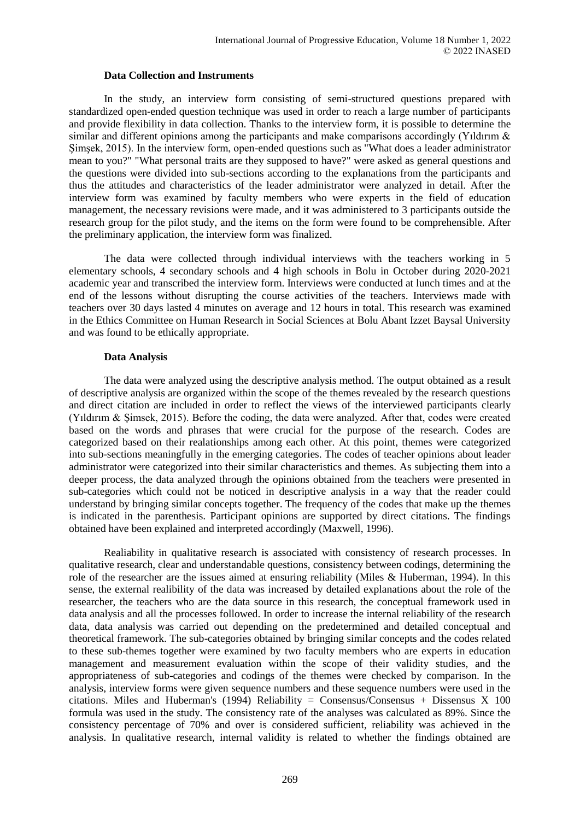### **Data Collection and Instruments**

In the study, an interview form consisting of semi-structured questions prepared with standardized open-ended question technique was used in order to reach a large number of participants and provide flexibility in data collection. Thanks to the interview form, it is possible to determine the similar and different opinions among the participants and make comparisons accordingly (Yildırım  $\&$ Şimşek, 2015). In the interview form, open-ended questions such as "What does a leader administrator mean to you?" "What personal traits are they supposed to have?" were asked as general questions and the questions were divided into sub-sections according to the explanations from the participants and thus the attitudes and characteristics of the leader administrator were analyzed in detail. After the interview form was examined by faculty members who were experts in the field of education management, the necessary revisions were made, and it was administered to 3 participants outside the research group for the pilot study, and the items on the form were found to be comprehensible. After the preliminary application, the interview form was finalized.

The data were collected through individual interviews with the teachers working in 5 elementary schools, 4 secondary schools and 4 high schools in Bolu in October during 2020-2021 academic year and transcribed the interview form. Interviews were conducted at lunch times and at the end of the lessons without disrupting the course activities of the teachers. Interviews made with teachers over 30 days lasted 4 minutes on average and 12 hours in total. This research was examined in the Ethics Committee on Human Research in Social Sciences at Bolu Abant Izzet Baysal University and was found to be ethically appropriate.

### **Data Analysis**

The data were analyzed using the descriptive analysis method. The output obtained as a result of descriptive analysis are organized within the scope of the themes revealed by the research questions and direct citation are included in order to reflect the views of the interviewed participants clearly (Yıldırım & Şimsek, 2015). Before the coding, the data were analyzed. After that, codes were created based on the words and phrases that were crucial for the purpose of the research. Codes are categorized based on their realationships among each other. At this point, themes were categorized into sub-sections meaningfully in the emerging categories. The codes of teacher opinions about leader administrator were categorized into their similar characteristics and themes. As subjecting them into a deeper process, the data analyzed through the opinions obtained from the teachers were presented in sub-categories which could not be noticed in descriptive analysis in a way that the reader could understand by bringing similar concepts together. The frequency of the codes that make up the themes is indicated in the parenthesis. Participant opinions are supported by direct citations. The findings obtained have been explained and interpreted accordingly (Maxwell, 1996).

Realiability in qualitative research is associated with consistency of research processes. In qualitative research, clear and understandable questions, consistency between codings, determining the role of the researcher are the issues aimed at ensuring reliability (Miles & Huberman, 1994). In this sense, the external realibility of the data was increased by detailed explanations about the role of the researcher, the teachers who are the data source in this research, the conceptual framework used in data analysis and all the processes followed. In order to increase the internal reliability of the research data, data analysis was carried out depending on the predetermined and detailed conceptual and theoretical framework. The sub-categories obtained by bringing similar concepts and the codes related to these sub-themes together were examined by two faculty members who are experts in education management and measurement evaluation within the scope of their validity studies, and the appropriateness of sub-categories and codings of the themes were checked by comparison. In the analysis, interview forms were given sequence numbers and these sequence numbers were used in the citations. Miles and Huberman's (1994) Reliability = Consensus/Consensus + Dissensus  $X$  100 formula was used in the study. The consistency rate of the analyses was calculated as 89%. Since the consistency percentage of 70% and over is considered sufficient, reliability was achieved in the analysis. In qualitative research, internal validity is related to whether the findings obtained are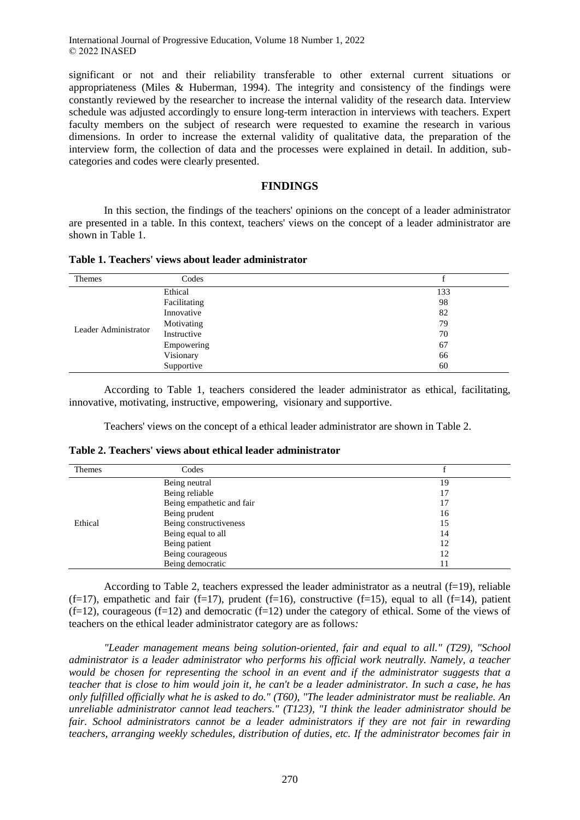significant or not and their reliability transferable to other external current situations or appropriateness (Miles  $\&$  Huberman, 1994). The integrity and consistency of the findings were constantly reviewed by the researcher to increase the internal validity of the research data. Interview schedule was adjusted accordingly to ensure long-term interaction in interviews with teachers. Expert faculty members on the subject of research were requested to examine the research in various dimensions. In order to increase the external validity of qualitative data, the preparation of the interview form, the collection of data and the processes were explained in detail. In addition, subcategories and codes were clearly presented.

### **FINDINGS**

In this section, the findings of the teachers' opinions on the concept of a leader administrator are presented in a table. In this context, teachers' views on the concept of a leader administrator are shown in Table 1.

**Table 1. Teachers' views about leader administrator**

| Themes               | Codes        |     |
|----------------------|--------------|-----|
|                      | Ethical      | 133 |
|                      | Facilitating | 98  |
| Leader Administrator | Innovative   | 82  |
|                      | Motivating   | 79  |
|                      | Instructive  | 70  |
|                      | Empowering   | 67  |
|                      | Visionary    | 66  |
|                      | Supportive   | 60  |

According to Table 1, teachers considered the leader administrator as ethical, facilitating, innovative, motivating, instructive, empowering, visionary and supportive.

Teachers' views on the concept of a ethical leader administrator are shown in Table 2.

**Table 2. Teachers' views about ethical leader administrator**

| <b>Themes</b> | Codes                     |    |
|---------------|---------------------------|----|
| Ethical       | Being neutral             | 19 |
|               | Being reliable            | 17 |
|               | Being empathetic and fair | 17 |
|               | Being prudent             | 16 |
|               | Being constructiveness    | 15 |
|               | Being equal to all        | 14 |
|               | Being patient             | 12 |
|               | Being courageous          | 12 |
|               | Being democratic          |    |

According to Table 2, teachers expressed the leader administrator as a neutral  $(f=19)$ , reliable  $(f=17)$ , empathetic and fair  $(f=17)$ , prudent  $(f=16)$ , constructive  $(f=15)$ , equal to all  $(f=14)$ , patient  $(f=12)$ , courageous  $(f=12)$  and democratic  $(f=12)$  under the category of ethical. Some of the views of teachers on the ethical leader administrator category are as follows*:* 

*"Leader management means being solution-oriented, fair and equal to all." (T29), "School administrator is a leader administrator who performs his official work neutrally. Namely, a teacher would be chosen for representing the school in an event and if the administrator suggests that a teacher that is close to him would join it, he can't be a leader administrator. In such a case, he has only fulfilled officially what he is asked to do." (T60), "The leader administrator must be realiable. An unreliable administrator cannot lead teachers." (T123), "I think the leader administrator should be fair. School administrators cannot be a leader administrators if they are not fair in rewarding teachers, arranging weekly schedules, distribution of duties, etc. If the administrator becomes fair in*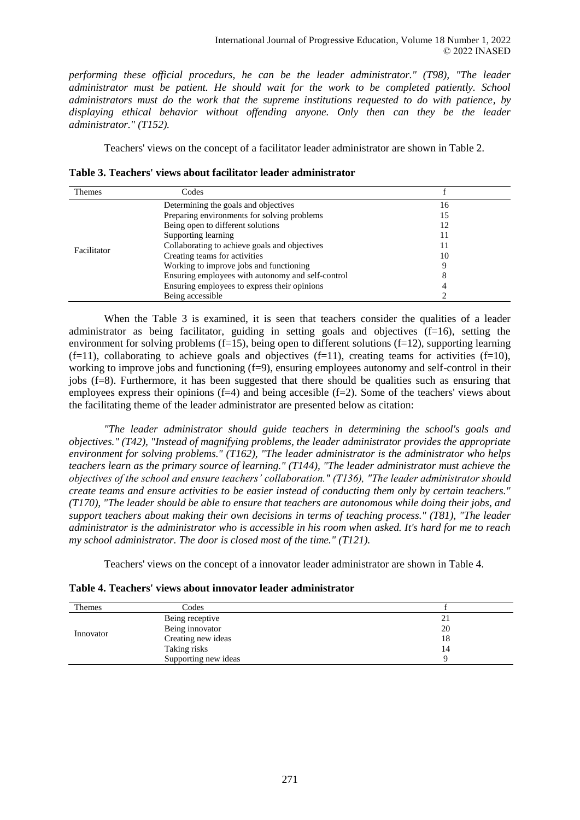*performing these official procedurs, he can be the leader administrator." (T98), "The leader administrator must be patient. He should wait for the work to be completed patiently. School administrators must do the work that the supreme institutions requested to do with patience, by displaying ethical behavior without offending anyone. Only then can they be the leader administrator." (T152).*

Teachers' views on the concept of a facilitator leader administrator are shown in Table 2.

**Table 3. Teachers' views about facilitator leader administrator**

| Themes      | Codes                                             |    |
|-------------|---------------------------------------------------|----|
| Facilitator | Determining the goals and objectives              | 16 |
|             | Preparing environments for solving problems       | 15 |
|             | Being open to different solutions                 |    |
|             | Supporting learning                               |    |
|             | Collaborating to achieve goals and objectives     |    |
|             | Creating teams for activities                     | 10 |
|             | Working to improve jobs and functioning           |    |
|             | Ensuring employees with autonomy and self-control |    |
|             | Ensuring employees to express their opinions      |    |
|             | Being accessible                                  |    |

When the Table 3 is examined, it is seen that teachers consider the qualities of a leader administrator as being facilitator, guiding in setting goals and objectives  $(f=16)$ , setting the environment for solving problems (f=15), being open to different solutions (f=12), supporting learning  $(f=11)$ , collaborating to achieve goals and objectives  $(f=11)$ , creating teams for activities  $(f=10)$ , working to improve jobs and functioning  $(f=9)$ , ensuring employees autonomy and self-control in their jobs (f=8). Furthermore, it has been suggested that there should be qualities such as ensuring that employees express their opinions  $(f=4)$  and being accesible  $(f=2)$ . Some of the teachers' views about the facilitating theme of the leader administrator are presented below as citation:

*"The leader administrator should guide teachers in determining the school's goals and objectives." (T42), "Instead of magnifying problems, the leader administrator provides the appropriate environment for solving problems." (T162), "The leader administrator is the administrator who helps teachers learn as the primary source of learning." (T144), "The leader administrator must achieve the objectives of the school and ensure teachers' collaboration." (T136), "The leader administrator should create teams and ensure activities to be easier instead of conducting them only by certain teachers." (T170), "The leader should be able to ensure that teachers are autonomous while doing their jobs, and support teachers about making their own decisions in terms of teaching process." (T81), "The leader administrator is the administrator who is accessible in his room when asked. It's hard for me to reach my school administrator. The door is closed most of the time." (T121).*

Teachers' views on the concept of a innovator leader administrator are shown in Table 4.

**Table 4. Teachers' views about innovator leader administrator**

| Themes    | Codes                |    |
|-----------|----------------------|----|
| Innovator | Being receptive      |    |
|           | Being innovator      | 20 |
|           | Creating new ideas   | 18 |
|           | Taking risks         | 14 |
|           | Supporting new ideas |    |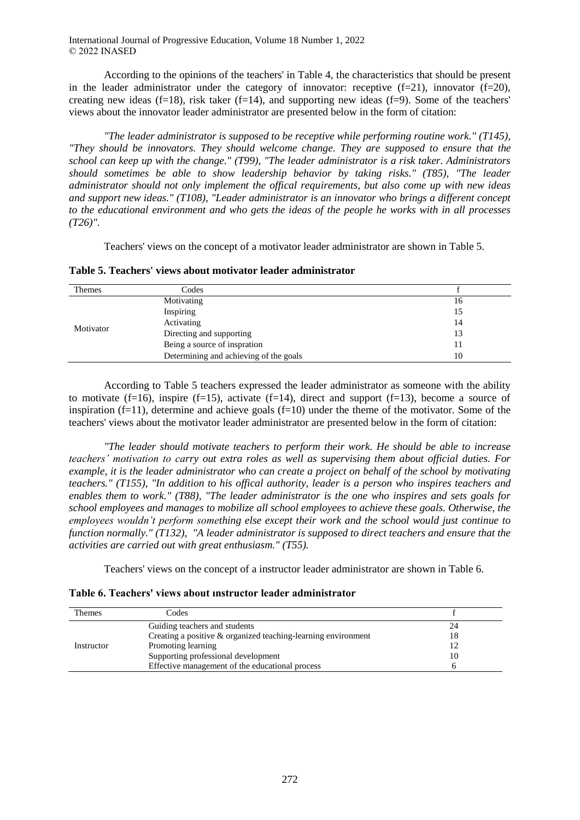According to the opinions of the teachers' in Table 4, the characteristics that should be present in the leader administrator under the category of innovator: receptive  $(f=21)$ , innovator  $(f=20)$ , creating new ideas (f=18), risk taker (f=14), and supporting new ideas (f=9). Some of the teachers' views about the innovator leader administrator are presented below in the form of citation:

*"The leader administrator is supposed to be receptive while performing routine work." (T145), "They should be innovators. They should welcome change. They are supposed to ensure that the school can keep up with the change." (T99), "The leader administrator is a risk taker. Administrators should sometimes be able to show leadership behavior by taking risks." (T85), "The leader administrator should not only implement the offical requirements, but also come up with new ideas and support new ideas." (T108), "Leader administrator is an innovator who brings a different concept to the educational environment and who gets the ideas of the people he works with in all processes (T26)"*.

Teachers' views on the concept of a motivator leader administrator are shown in Table 5.

**Table 5. Teachers' views about motivator leader administrator**

| <b>Themes</b> | Codes                                  |    |
|---------------|----------------------------------------|----|
| Motivator     | Motivating                             | 16 |
|               | Inspiring                              | 15 |
|               | Activating                             | 14 |
|               | Directing and supporting               | 13 |
|               | Being a source of inspration           |    |
|               | Determining and achieving of the goals | 10 |

According to Table 5 teachers expressed the leader administrator as someone with the ability to motivate (f=16), inspire (f=15), activate (f=14), direct and support (f=13), become a source of inspiration  $(f=11)$ , determine and achieve goals  $(f=10)$  under the theme of the motivator. Some of the teachers' views about the motivator leader administrator are presented below in the form of citation:

*"The leader should motivate teachers to perform their work. He should be able to increase teachers' motivation to carry out extra roles as well as supervising them about official duties. For example, it is the leader administrator who can create a project on behalf of the school by motivating teachers." (T155), "In addition to his offical authority, leader is a person who inspires teachers and enables them to work." (T88), "The leader administrator is the one who inspires and sets goals for school employees and manages to mobilize all school employees to achieve these goals. Otherwise, the employees wouldn't perform something else except their work and the school would just continue to function normally." (T132), "A leader administrator is supposed to direct teachers and ensure that the activities are carried out with great enthusiasm." (T55).*

Teachers' views on the concept of a instructor leader administrator are shown in Table 6.

**Table 6. Teachers' views about ınstructor leader administrator**

| Themes     | Codes                                                            |    |
|------------|------------------------------------------------------------------|----|
|            | Guiding teachers and students                                    | 24 |
|            | Creating a positive $\&$ organized teaching-learning environment | 18 |
| Instructor | Promoting learning                                               | 12 |
|            | Supporting professional development                              | 10 |
|            | Effective management of the educational process                  |    |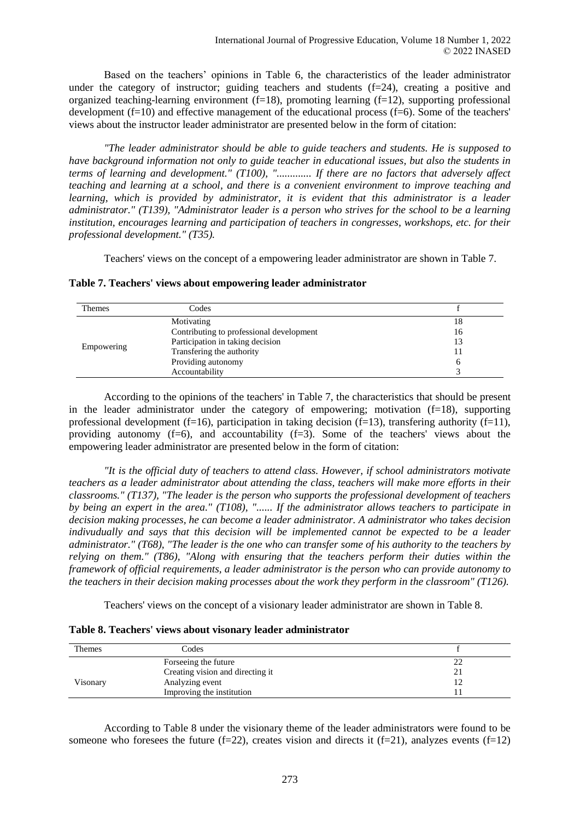Based on the teachers' opinions in Table 6, the characteristics of the leader administrator under the category of instructor; guiding teachers and students  $(f=24)$ , creating a positive and organized teaching-learning environment (f=18), promoting learning (f=12), supporting professional development  $(f=10)$  and effective management of the educational process  $(f=6)$ . Some of the teachers' views about the instructor leader administrator are presented below in the form of citation:

*"The leader administrator should be able to guide teachers and students. He is supposed to have background information not only to guide teacher in educational issues, but also the students in terms of learning and development." (T100), "............. If there are no factors that adversely affect teaching and learning at a school, and there is a convenient environment to improve teaching and learning, which is provided by administrator, it is evident that this administrator is a leader administrator." (T139), "Administrator leader is a person who strives for the school to be a learning institution, encourages learning and participation of teachers in congresses, workshops, etc. for their professional development." (T35).*

Teachers' views on the concept of a empowering leader administrator are shown in Table 7.

| <b>Themes</b> | Codes                                    |    |
|---------------|------------------------------------------|----|
| Empowering    | Motivating                               | 18 |
|               | Contributing to professional development | 16 |
|               | Participation in taking decision         |    |
|               | Transfering the authority                |    |
|               | Providing autonomy                       |    |
|               | Accountability                           |    |

**Table 7. Teachers' views about empowering leader administrator**

According to the opinions of the teachers' in Table 7, the characteristics that should be present in the leader administrator under the category of empowering; motivation (f=18), supporting professional development (f=16), participation in taking decision (f=13), transfering authority (f=11), providing autonomy  $(f=6)$ , and accountability  $(f=3)$ . Some of the teachers' views about the empowering leader administrator are presented below in the form of citation:

*"It is the official duty of teachers to attend class. However, if school administrators motivate teachers as a leader administrator about attending the class, teachers will make more efforts in their classrooms." (T137), "The leader is the person who supports the professional development of teachers by being an expert in the area." (T108), "...... If the administrator allows teachers to participate in decision making processes, he can become a leader administrator. A administrator who takes decision indivudually and says that this decision will be implemented cannot be expected to be a leader administrator." (T68), "The leader is the one who can transfer some of his authority to the teachers by relying on them." (T86), "Along with ensuring that the teachers perform their duties within the framework of official requirements, a leader administrator is the person who can provide autonomy to the teachers in their decision making processes about the work they perform in the classroom" (T126).*

Teachers' views on the concept of a visionary leader administrator are shown in Table 8.

| Table 8. Teachers' views about visonary leader administrator |  |  |  |  |
|--------------------------------------------------------------|--|--|--|--|
|--------------------------------------------------------------|--|--|--|--|

| Themes   | Codes                            |    |
|----------|----------------------------------|----|
|          | Forseeing the future             | ∠∠ |
|          | Creating vision and directing it |    |
| Visonary | Analyzing event                  |    |
|          | Improving the institution        |    |

According to Table 8 under the visionary theme of the leader administrators were found to be someone who foresees the future (f=22), creates vision and directs it (f=21), analyzes events (f=12)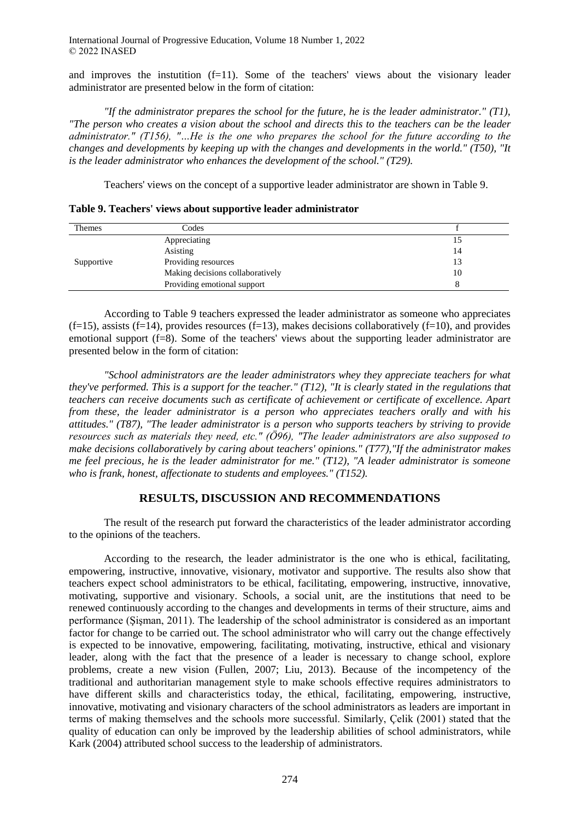and improves the instutition (f=11). Some of the teachers' views about the visionary leader administrator are presented below in the form of citation:

*"If the administrator prepares the school for the future, he is the leader administrator." (T1), "The person who creates a vision about the school and directs this to the teachers can be the leader administrator." (T156), "…He is the one who prepares the school for the future according to the changes and developments by keeping up with the changes and developments in the world." (T50), "It is the leader administrator who enhances the development of the school." (T29).*

Teachers' views on the concept of a supportive leader administrator are shown in Table 9.

| <b>Themes</b> | Codes                            |    |
|---------------|----------------------------------|----|
|               | Appreciating                     |    |
|               | Asisting                         | 14 |
| Supportive    | Providing resources              |    |
|               | Making decisions collaboratively | 10 |
|               | Providing emotional support      | 8  |

**Table 9. Teachers' views about supportive leader administrator**

According to Table 9 teachers expressed the leader administrator as someone who appreciates  $(f=15)$ , assists  $(f=14)$ , provides resources  $(f=13)$ , makes decisions collaboratively  $(f=10)$ , and provides emotional support  $(f=8)$ . Some of the teachers' views about the supporting leader administrator are presented below in the form of citation:

*"School administrators are the leader administrators whey they appreciate teachers for what they've performed. This is a support for the teacher." (T12), "It is clearly stated in the regulations that teachers can receive documents such as certificate of achievement or certificate of excellence. Apart from these, the leader administrator is a person who appreciates teachers orally and with his attitudes." (T87), "The leader administrator is a person who supports teachers by striving to provide resources such as materials they need, etc." (Ö96), "The leader administrators are also supposed to make decisions collaboratively by caring about teachers' opinions." (T77),"If the administrator makes me feel precious, he is the leader administrator for me." (T12), "A leader administrator is someone who is frank, honest, affectionate to students and employees." (T152).*

# **RESULTS, DISCUSSION AND RECOMMENDATIONS**

The result of the research put forward the characteristics of the leader administrator according to the opinions of the teachers.

According to the research, the leader administrator is the one who is ethical, facilitating, empowering, instructive, innovative, visionary, motivator and supportive. The results also show that teachers expect school administrators to be ethical, facilitating, empowering, instructive, innovative, motivating, supportive and visionary. Schools, a social unit, are the institutions that need to be renewed continuously according to the changes and developments in terms of their structure, aims and performance (Şişman, 2011). The leadership of the school administrator is considered as an important factor for change to be carried out. The school administrator who will carry out the change effectively is expected to be innovative, empowering, facilitating, motivating, instructive, ethical and visionary leader, along with the fact that the presence of a leader is necessary to change school, explore problems, create a new vision (Fullen, 2007; Liu, 2013). Because of the incompetency of the traditional and authoritarian management style to make schools effective requires administrators to have different skills and characteristics today, the ethical, facilitating, empowering, instructive, innovative, motivating and visionary characters of the school administrators as leaders are important in terms of making themselves and the schools more successful. Similarly, Çelik (2001) stated that the quality of education can only be improved by the leadership abilities of school administrators, while Kark (2004) attributed school success to the leadership of administrators.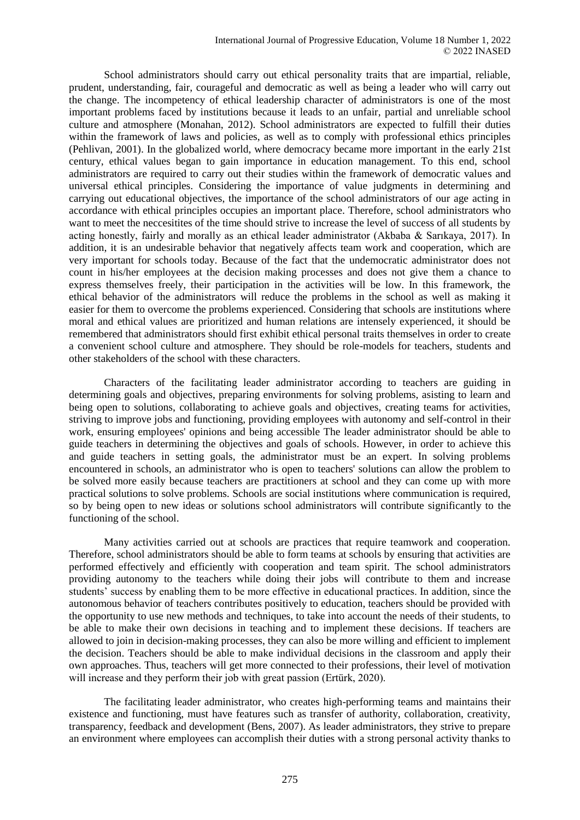School administrators should carry out ethical personality traits that are impartial, reliable, prudent, understanding, fair, courageful and democratic as well as being a leader who will carry out the change. The incompetency of ethical leadership character of administrators is one of the most important problems faced by institutions because it leads to an unfair, partial and unreliable school culture and atmosphere (Monahan, 2012). School administrators are expected to fulfill their duties within the framework of laws and policies, as well as to comply with professional ethics principles (Pehlivan, 2001). In the globalized world, where democracy became more important in the early 21st century, ethical values began to gain importance in education management. To this end, school administrators are required to carry out their studies within the framework of democratic values and universal ethical principles. Considering the importance of value judgments in determining and carrying out educational objectives, the importance of the school administrators of our age acting in accordance with ethical principles occupies an important place. Therefore, school administrators who want to meet the neccesitites of the time should strive to increase the level of success of all students by acting honestly, fairly and morally as an ethical leader administrator (Akbaba & Sarıkaya, 2017). In addition, it is an undesirable behavior that negatively affects team work and cooperation, which are very important for schools today. Because of the fact that the undemocratic administrator does not count in his/her employees at the decision making processes and does not give them a chance to express themselves freely, their participation in the activities will be low. In this framework, the ethical behavior of the administrators will reduce the problems in the school as well as making it easier for them to overcome the problems experienced. Considering that schools are institutions where moral and ethical values are prioritized and human relations are intensely experienced, it should be remembered that administrators should first exhibit ethical personal traits themselves in order to create a convenient school culture and atmosphere. They should be role-models for teachers, students and other stakeholders of the school with these characters.

Characters of the facilitating leader administrator according to teachers are guiding in determining goals and objectives, preparing environments for solving problems, asisting to learn and being open to solutions, collaborating to achieve goals and objectives, creating teams for activities, striving to improve jobs and functioning, providing employees with autonomy and self-control in their work, ensuring employees' opinions and being accessible The leader administrator should be able to guide teachers in determining the objectives and goals of schools. However, in order to achieve this and guide teachers in setting goals, the administrator must be an expert. In solving problems encountered in schools, an administrator who is open to teachers' solutions can allow the problem to be solved more easily because teachers are practitioners at school and they can come up with more practical solutions to solve problems. Schools are social institutions where communication is required, so by being open to new ideas or solutions school administrators will contribute significantly to the functioning of the school.

Many activities carried out at schools are practices that require teamwork and cooperation. Therefore, school administrators should be able to form teams at schools by ensuring that activities are performed effectively and efficiently with cooperation and team spirit. The school administrators providing autonomy to the teachers while doing their jobs will contribute to them and increase students' success by enabling them to be more effective in educational practices. In addition, since the autonomous behavior of teachers contributes positively to education, teachers should be provided with the opportunity to use new methods and techniques, to take into account the needs of their students, to be able to make their own decisions in teaching and to implement these decisions. If teachers are allowed to join in decision-making processes, they can also be more willing and efficient to implement the decision. Teachers should be able to make individual decisions in the classroom and apply their own approaches. Thus, teachers will get more connected to their professions, their level of motivation will increase and they perform their job with great passion (Ertürk, 2020).

The facilitating leader administrator, who creates high-performing teams and maintains their existence and functioning, must have features such as transfer of authority, collaboration, creativity, transparency, feedback and development (Bens, 2007). As leader administrators, they strive to prepare an environment where employees can accomplish their duties with a strong personal activity thanks to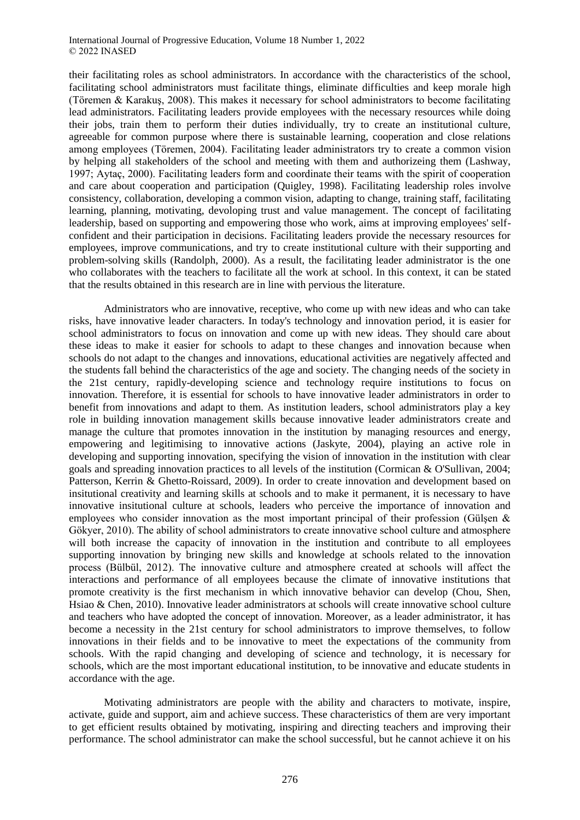their facilitating roles as school administrators. In accordance with the characteristics of the school, facilitating school administrators must facilitate things, eliminate difficulties and keep morale high (Töremen & Karakuş, 2008). This makes it necessary for school administrators to become facilitating lead administrators. Facilitating leaders provide employees with the necessary resources while doing their jobs, train them to perform their duties individually, try to create an institutional culture, agreeable for common purpose where there is sustainable learning, cooperation and close relations among employees (Töremen, 2004). Facilitating leader administrators try to create a common vision by helping all stakeholders of the school and meeting with them and authorizeing them (Lashway, 1997; Aytaç, 2000). Facilitating leaders form and coordinate their teams with the spirit of cooperation and care about cooperation and participation (Quigley, 1998). Facilitating leadership roles involve consistency, collaboration, developing a common vision, adapting to change, training staff, facilitating learning, planning, motivating, devoloping trust and value management. The concept of facilitating leadership, based on supporting and empowering those who work, aims at improving employees' selfconfident and their participation in decisions. Facilitating leaders provide the necessary resources for employees, improve communications, and try to create institutional culture with their supporting and problem-solving skills (Randolph, 2000). As a result, the facilitating leader administrator is the one who collaborates with the teachers to facilitate all the work at school. In this context, it can be stated that the results obtained in this research are in line with pervious the literature.

Administrators who are innovative, receptive, who come up with new ideas and who can take risks, have innovative leader characters. In today's technology and innovation period, it is easier for school administrators to focus on innovation and come up with new ideas. They should care about these ideas to make it easier for schools to adapt to these changes and innovation because when schools do not adapt to the changes and innovations, educational activities are negatively affected and the students fall behind the characteristics of the age and society. The changing needs of the society in the 21st century, rapidly-developing science and technology require institutions to focus on innovation. Therefore, it is essential for schools to have innovative leader administrators in order to benefit from innovations and adapt to them. As institution leaders, school administrators play a key role in building innovation management skills because innovative leader administrators create and manage the culture that promotes innovation in the institution by managing resources and energy, empowering and legitimising to innovative actions (Jaskyte, 2004), playing an active role in developing and supporting innovation, specifying the vision of innovation in the institution with clear goals and spreading innovation practices to all levels of the institution (Cormican & O'Sullivan, 2004; Patterson, Kerrin & Ghetto-Roissard, 2009). In order to create innovation and development based on insitutional creativity and learning skills at schools and to make it permanent, it is necessary to have innovative insitutional culture at schools, leaders who perceive the importance of innovation and employees who consider innovation as the most important principal of their profession (Gülşen & Gökyer, 2010). The ability of school administrators to create innovative school culture and atmosphere will both increase the capacity of innovation in the institution and contribute to all employees supporting innovation by bringing new skills and knowledge at schools related to the innovation process (Bülbül, 2012). The innovative culture and atmosphere created at schools will affect the interactions and performance of all employees because the climate of innovative institutions that promote creativity is the first mechanism in which innovative behavior can develop (Chou, Shen, Hsiao & Chen, 2010). Innovative leader administrators at schools will create innovative school culture and teachers who have adopted the concept of innovation. Moreover, as a leader administrator, it has become a necessity in the 21st century for school administrators to improve themselves, to follow innovations in their fields and to be innovative to meet the expectations of the community from schools. With the rapid changing and developing of science and technology, it is necessary for schools, which are the most important educational institution, to be innovative and educate students in accordance with the age.

Motivating administrators are people with the ability and characters to motivate, inspire, activate, guide and support, aim and achieve success. These characteristics of them are very important to get efficient results obtained by motivating, inspiring and directing teachers and improving their performance. The school administrator can make the school successful, but he cannot achieve it on his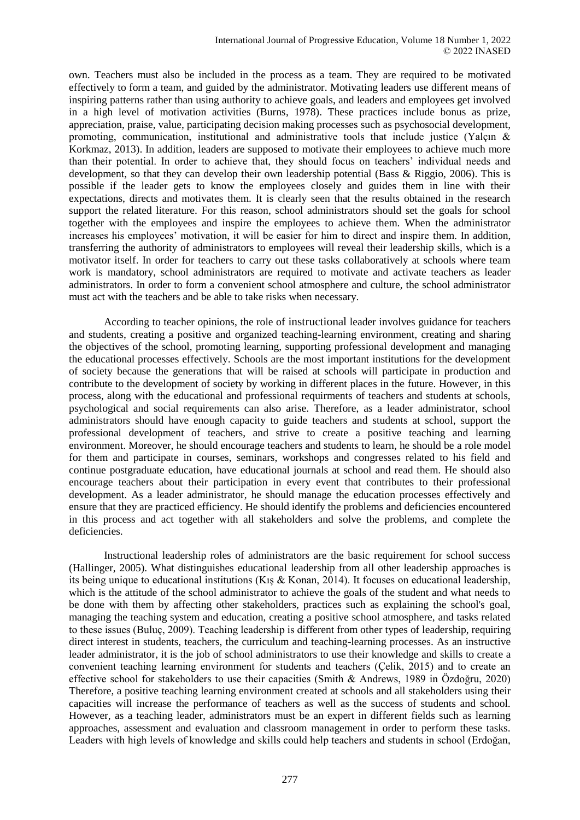own. Teachers must also be included in the process as a team. They are required to be motivated effectively to form a team, and guided by the administrator. Motivating leaders use different means of inspiring patterns rather than using authority to achieve goals, and leaders and employees get involved in a high level of motivation activities (Burns, 1978). These practices include bonus as prize, appreciation, praise, value, participating decision making processes such as psychosocial development, promoting, communication, institutional and administrative tools that include justice (Yalçın & Korkmaz, 2013). In addition, leaders are supposed to motivate their employees to achieve much more than their potential. In order to achieve that, they should focus on teachers' individual needs and development, so that they can develop their own leadership potential (Bass & Riggio, 2006). This is possible if the leader gets to know the employees closely and guides them in line with their expectations, directs and motivates them. It is clearly seen that the results obtained in the research support the related literature. For this reason, school administrators should set the goals for school together with the employees and inspire the employees to achieve them. When the administrator increases his employees' motivation, it will be easier for him to direct and inspire them. In addition, transferring the authority of administrators to employees will reveal their leadership skills, which is a motivator itself. In order for teachers to carry out these tasks collaboratively at schools where team work is mandatory, school administrators are required to motivate and activate teachers as leader administrators. In order to form a convenient school atmosphere and culture, the school administrator must act with the teachers and be able to take risks when necessary.

According to teacher opinions, the role of instructional leader involves guidance for teachers and students, creating a positive and organized teaching-learning environment, creating and sharing the objectives of the school, promoting learning, supporting professional development and managing the educational processes effectively. Schools are the most important institutions for the development of society because the generations that will be raised at schools will participate in production and contribute to the development of society by working in different places in the future. However, in this process, along with the educational and professional requirments of teachers and students at schools, psychological and social requirements can also arise. Therefore, as a leader administrator, school administrators should have enough capacity to guide teachers and students at school, support the professional development of teachers, and strive to create a positive teaching and learning environment. Moreover, he should encourage teachers and students to learn, he should be a role model for them and participate in courses, seminars, workshops and congresses related to his field and continue postgraduate education, have educational journals at school and read them. He should also encourage teachers about their participation in every event that contributes to their professional development. As a leader administrator, he should manage the education processes effectively and ensure that they are practiced efficiency. He should identify the problems and deficiencies encountered in this process and act together with all stakeholders and solve the problems, and complete the deficiencies.

Instructional leadership roles of administrators are the basic requirement for school success (Hallinger, 2005). What distinguishes educational leadership from all other leadership approaches is its being unique to educational institutions (Kış & Konan, 2014). It focuses on educational leadership, which is the attitude of the school administrator to achieve the goals of the student and what needs to be done with them by affecting other stakeholders, practices such as explaining the school's goal, managing the teaching system and education, creating a positive school atmosphere, and tasks related to these issues (Buluç, 2009). Teaching leadership is different from other types of leadership, requiring direct interest in students, teachers, the curriculum and teaching-learning processes. As an instructive leader administrator, it is the job of school administrators to use their knowledge and skills to create a convenient teaching learning environment for students and teachers (Çelik, 2015) and to create an effective school for stakeholders to use their capacities (Smith & Andrews, 1989 in Özdoğru, 2020) Therefore, a positive teaching learning environment created at schools and all stakeholders using their capacities will increase the performance of teachers as well as the success of students and school. However, as a teaching leader, administrators must be an expert in different fields such as learning approaches, assessment and evaluation and classroom management in order to perform these tasks. Leaders with high levels of knowledge and skills could help teachers and students in school (Erdoğan,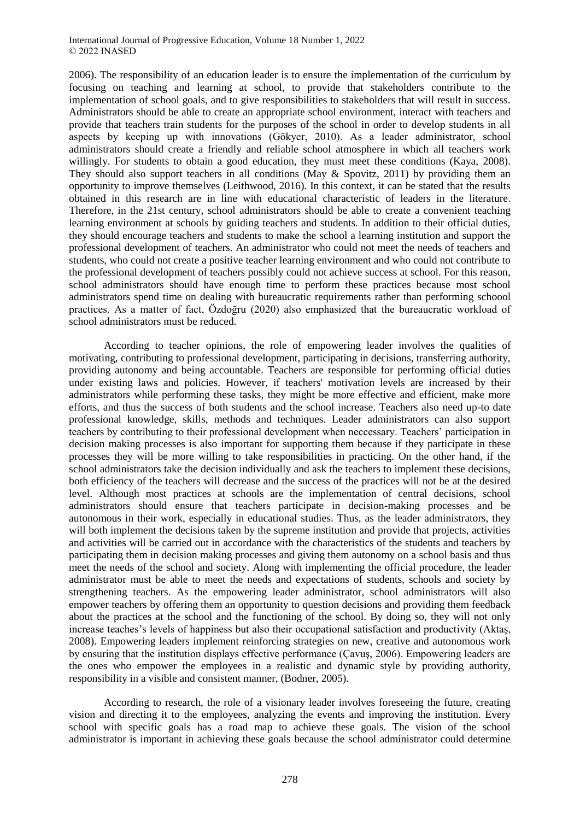2006). The responsibility of an education leader is to ensure the implementation of the curriculum by focusing on teaching and learning at school, to provide that stakeholders contribute to the implementation of school goals, and to give responsibilities to stakeholders that will result in success. Administrators should be able to create an appropriate school environment, interact with teachers and provide that teachers train students for the purposes of the school in order to develop students in all aspects by keeping up with innovations (Gökyer, 2010). As a leader administrator, school administrators should create a friendly and reliable school atmosphere in which all teachers work willingly. For students to obtain a good education, they must meet these conditions (Kaya, 2008). They should also support teachers in all conditions (May & Spovitz, 2011) by providing them an opportunity to improve themselves (Leithwood, 2016). In this context, it can be stated that the results obtained in this research are in line with educational characteristic of leaders in the literature. Therefore, in the 21st century, school administrators should be able to create a convenient teaching learning environment at schools by guiding teachers and students. In addition to their official duties, they should encourage teachers and students to make the school a learning institution and support the professional development of teachers. An administrator who could not meet the needs of teachers and students, who could not create a positive teacher learning environment and who could not contribute to the professional development of teachers possibly could not achieve success at school. For this reason, school administrators should have enough time to perform these practices because most school administrators spend time on dealing with bureaucratic requirements rather than performing schoool practices. As a matter of fact, Özdoğru (2020) also emphasized that the bureaucratic workload of school administrators must be reduced.

According to teacher opinions, the role of empowering leader involves the qualities of motivating, contributing to professional development, participating in decisions, transferring authority, providing autonomy and being accountable. Teachers are responsible for performing official duties under existing laws and policies. However, if teachers' motivation levels are increased by their administrators while performing these tasks, they might be more effective and efficient, make more efforts, and thus the success of both students and the school increase. Teachers also need up-to date professional knowledge, skills, methods and techniques. Leader administrators can also support teachers by contributing to their professional development when neccessary. Teachers' participation in decision making processes is also important for supporting them because if they participate in these processes they will be more willing to take responsibilities in practicing. On the other hand, if the school administrators take the decision individually and ask the teachers to implement these decisions, both efficiency of the teachers will decrease and the success of the practices will not be at the desired level. Although most practices at schools are the implementation of central decisions, school administrators should ensure that teachers participate in decision-making processes and be autonomous in their work, especially in educational studies. Thus, as the leader administrators, they will both implement the decisions taken by the supreme institution and provide that projects, activities and activities will be carried out in accordance with the characteristics of the students and teachers by participating them in decision making processes and giving them autonomy on a school basis and thus meet the needs of the school and society. Along with implementing the official procedure, the leader administrator must be able to meet the needs and expectations of students, schools and society by strengthening teachers. As the empowering leader administrator, school administrators will also empower teachers by offering them an opportunity to question decisions and providing them feedback about the practices at the school and the functioning of the school. By doing so, they will not only increase teaches's levels of happiness but also their occupational satisfaction and productivity (Aktaş, 2008). Empowering leaders implement reinforcing strategies on new, creative and autonomous work by ensuring that the institution displays effective performance (Çavuş, 2006). Empowering leaders are the ones who empower the employees in a realistic and dynamic style by providing authority, responsibility in a visible and consistent manner, (Bodner, 2005).

According to research, the role of a visionary leader involves foreseeing the future, creating vision and directing it to the employees, analyzing the events and improving the institution. Every school with specific goals has a road map to achieve these goals. The vision of the school administrator is important in achieving these goals because the school administrator could determine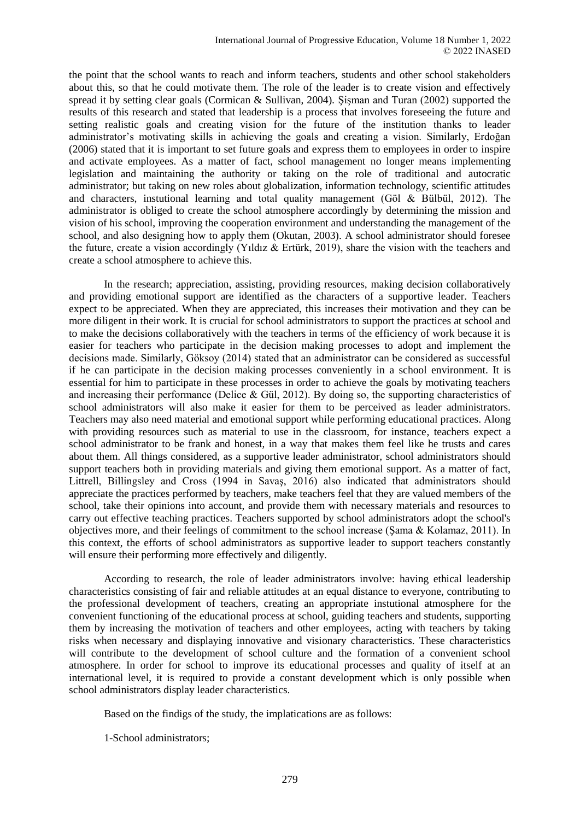the point that the school wants to reach and inform teachers, students and other school stakeholders about this, so that he could motivate them. The role of the leader is to create vision and effectively spread it by setting clear goals (Cormican & Sullivan, 2004). Şişman and Turan (2002) supported the results of this research and stated that leadership is a process that involves foreseeing the future and setting realistic goals and creating vision for the future of the institution thanks to leader administrator's motivating skills in achieving the goals and creating a vision. Similarly, Erdoğan (2006) stated that it is important to set future goals and express them to employees in order to inspire and activate employees. As a matter of fact, school management no longer means implementing legislation and maintaining the authority or taking on the role of traditional and autocratic administrator; but taking on new roles about globalization, information technology, scientific attitudes and characters, instutional learning and total quality management (Göl & Bülbül, 2012). The administrator is obliged to create the school atmosphere accordingly by determining the mission and vision of his school, improving the cooperation environment and understanding the management of the school, and also designing how to apply them (Okutan, 2003). A school administrator should foresee the future, create a vision accordingly (Yıldız & Ertürk, 2019), share the vision with the teachers and create a school atmosphere to achieve this.

In the research; appreciation, assisting, providing resources, making decision collaboratively and providing emotional support are identified as the characters of a supportive leader. Teachers expect to be appreciated. When they are appreciated, this increases their motivation and they can be more diligent in their work. It is crucial for school administrators to support the practices at school and to make the decisions collaboratively with the teachers in terms of the efficiency of work because it is easier for teachers who participate in the decision making processes to adopt and implement the decisions made. Similarly, Göksoy (2014) stated that an administrator can be considered as successful if he can participate in the decision making processes conveniently in a school environment. It is essential for him to participate in these processes in order to achieve the goals by motivating teachers and increasing their performance (Delice & Gül, 2012). By doing so, the supporting characteristics of school administrators will also make it easier for them to be perceived as leader administrators. Teachers may also need material and emotional support while performing educational practices. Along with providing resources such as material to use in the classroom, for instance, teachers expect a school administrator to be frank and honest, in a way that makes them feel like he trusts and cares about them. All things considered, as a supportive leader administrator, school administrators should support teachers both in providing materials and giving them emotional support. As a matter of fact, Littrell, Billingsley and Cross (1994 in Savaş, 2016) also indicated that administrators should appreciate the practices performed by teachers, make teachers feel that they are valued members of the school, take their opinions into account, and provide them with necessary materials and resources to carry out effective teaching practices. Teachers supported by school administrators adopt the school's objectives more, and their feelings of commitment to the school increase (Şama & Kolamaz, 2011). In this context, the efforts of school administrators as supportive leader to support teachers constantly will ensure their performing more effectively and diligently.

According to research, the role of leader administrators involve: having ethical leadership characteristics consisting of fair and reliable attitudes at an equal distance to everyone, contributing to the professional development of teachers, creating an appropriate instutional atmosphere for the convenient functioning of the educational process at school, guiding teachers and students, supporting them by increasing the motivation of teachers and other employees, acting with teachers by taking risks when necessary and displaying innovative and visionary characteristics. These characteristics will contribute to the development of school culture and the formation of a convenient school atmosphere. In order for school to improve its educational processes and quality of itself at an international level, it is required to provide a constant development which is only possible when school administrators display leader characteristics.

Based on the findigs of the study, the implatications are as follows:

1-School administrators;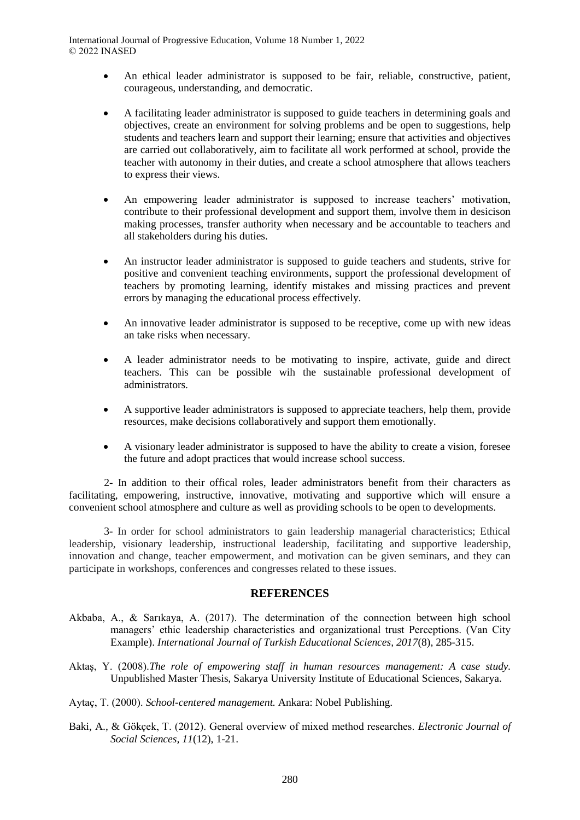- An ethical leader administrator is supposed to be fair, reliable, constructive, patient, courageous, understanding, and democratic.
- A facilitating leader administrator is supposed to guide teachers in determining goals and objectives, create an environment for solving problems and be open to suggestions, help students and teachers learn and support their learning; ensure that activities and objectives are carried out collaboratively, aim to facilitate all work performed at school, provide the teacher with autonomy in their duties, and create a school atmosphere that allows teachers to express their views.
- An empowering leader administrator is supposed to increase teachers' motivation, contribute to their professional development and support them, involve them in desicison making processes, transfer authority when necessary and be accountable to teachers and all stakeholders during his duties.
- An instructor leader administrator is supposed to guide teachers and students, strive for positive and convenient teaching environments, support the professional development of teachers by promoting learning, identify mistakes and missing practices and prevent errors by managing the educational process effectively.
- An innovative leader administrator is supposed to be receptive, come up with new ideas an take risks when necessary.
- A leader administrator needs to be motivating to inspire, activate, guide and direct teachers. This can be possible wih the sustainable professional development of administrators.
- A supportive leader administrators is supposed to appreciate teachers, help them, provide resources, make decisions collaboratively and support them emotionally.
- A visionary leader administrator is supposed to have the ability to create a vision, foresee the future and adopt practices that would increase school success.

2- In addition to their offical roles, leader administrators benefit from their characters as facilitating, empowering, instructive, innovative, motivating and supportive which will ensure a convenient school atmosphere and culture as well as providing schools to be open to developments.

3- In order for school administrators to gain leadership managerial characteristics; Ethical leadership, visionary leadership, instructional leadership, facilitating and supportive leadership, innovation and change, teacher empowerment, and motivation can be given seminars, and they can participate in workshops, conferences and congresses related to these issues.

### **REFERENCES**

- Akbaba, A., & Sarıkaya, A. (2017). The determination of the connection between high school managers' ethic leadership characteristics and organizational trust Perceptions. (Van City Example). *International Journal of Turkish Educational Sciences, 2017*(8), 285-315.
- Aktaş, Y. (2008).*The role of empowering staff in human resources management: A case study.* Unpublished Master Thesis, Sakarya University Institute of Educational Sciences, Sakarya.
- Aytaç, T. (2000). *School-centered management.* Ankara: Nobel Publishing.
- Baki, A., & Gökçek, T. (2012). General overview of mixed method researches. *Electronic Journal of Social Sciences, 11*(12), 1-21.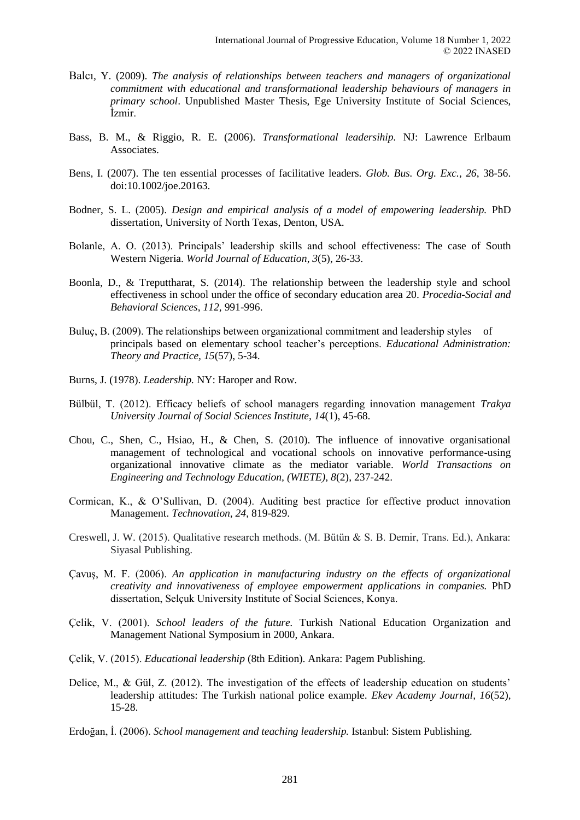- Balcı*,* Y. (2009). *The analysis of relationships between teachers and managers of organizational commitment with educational and transformational leadership behaviours of managers in primary school*. Unpublished Master Thesis, Ege University Institute of Social Sciences, İzmir.
- Bass, B. M., & Riggio, R. E. (2006). *Transformational leadersihip.* NJ: Lawrence Erlbaum Associates.
- Bens, I. (2007). The ten essential processes of facilitative leaders. *Glob. Bus. Org. Exc., 26*, 38-56. doi:10.1002/joe.20163.
- Bodner, S. L. (2005). *Design and empirical analysis of a model of empowering leadership.* PhD dissertation, University of North Texas, Denton, USA.
- Bolanle, A. O. (2013). Principals' leadership skills and school effectiveness: The case of South Western Nigeria. *World Journal of Education*, *3*(5), 26-33.
- Boonla, D., & Treputtharat, S. (2014). The relationship between the leadership style and school effectiveness in school under the office of secondary education area 20. *Procedia-Social and Behavioral Sciences*, *112,* 991-996.
- Buluç, B. (2009). The relationships between organizational commitment and leadership styles of principals based on elementary school teacher's perceptions. *Educational Administration: Theory and Practice, 15*(57), 5-34.
- Burns, J. (1978). *Leadership.* NY: Haroper and Row.
- Bülbül, T. (2012). Efficacy beliefs of school managers regarding innovation management *Trakya University Journal of Social Sciences Institute, 14*(1), 45-68.
- Chou, C., Shen, C., Hsiao, H., & Chen, S. (2010). The influence of innovative organisational management of technological and vocational schools on innovative performance-using organizational innovative climate as the mediator variable. *World Transactions on Engineering and Technology Education, (WIETE), 8*(2), 237-242.
- Cormican, K., & O'Sullivan, D. (2004). Auditing best practice for effective product innovation Management. *Technovation, 24*, 819-829.
- Creswell, J. W. (2015). Qualitative research methods. (M. Bütün & S. B. Demir, Trans. Ed.), Ankara: Siyasal Publishing.
- Çavuş, M. F. (2006). *An application in manufacturing industry on the effects of organizational creativity and innovativeness of employee empowerment applications in companies.* PhD dissertation, Selçuk University Institute of Social Sciences, Konya.
- Çelik, V. (2001). *School leaders of the future.* Turkish National Education Organization and Management National Symposium in 2000, Ankara.
- Çelik, V. (2015). *Educational leadership* (8th Edition). Ankara: Pagem Publishing.
- Delice, M., & Gül, Z. (2012). The investigation of the effects of leadership education on students' leadership attitudes: The Turkish national police example. *Ekev Academy Journal, 16*(52), 15-28.
- Erdoğan, İ. (2006). *School management and teaching leadership.* Istanbul: Sistem Publishing.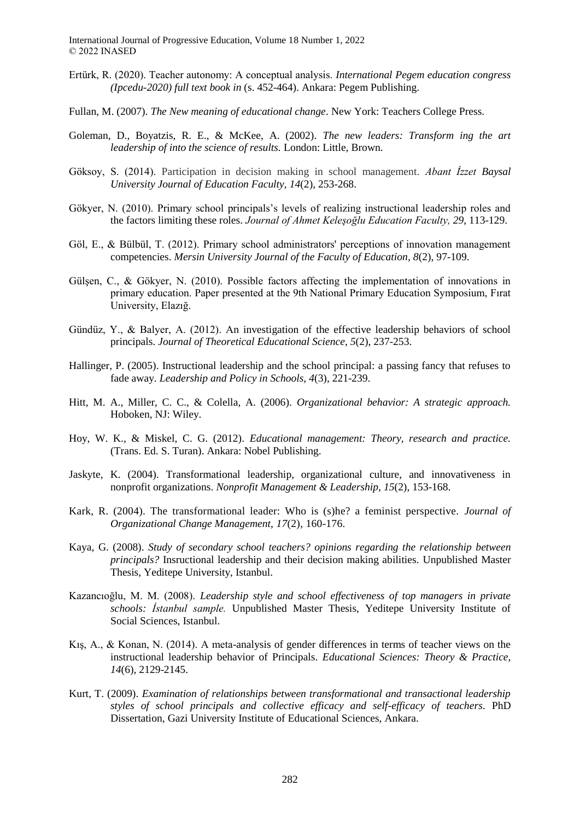- Ertürk, R. (2020). Teacher autonomy: A conceptual analysis. *International Pegem education congress (Ipcedu-2020) full text book in* (s. 452-464). Ankara: Pegem Publishing.
- Fullan, M. (2007). *The New meaning of educational change*. New York: Teachers College Press.
- Goleman, D., Boyatzis, R. E., & McKee, A. (2002). *The new leaders: Transform ing the art leadership of into the science of results.* London: Little, Brown.
- Göksoy, S. (2014). Participation in decision making in school management. *Abant İzzet Baysal University Journal of Education Faculty, 14*(2), 253-268.
- Gökyer, N. (2010). Primary school principals's levels of realizing instructional leadership roles and the factors limiting these roles. *Journal of Ahmet Keleşoğlu Education Faculty, 29*, 113-129.
- Göl, E., & Bülbül, T. (2012). Primary school administrators' perceptions of innovation management competencies. *Mersin University Journal of the Faculty of Education, 8*(2), 97-109.
- Gülşen, C., & Gökyer, N. (2010). Possible factors affecting the implementation of innovations in primary education. Paper presented at the 9th National Primary Education Symposium, Fırat University, Elazığ.
- Gündüz, Y., & Balyer, A. (2012). An investigation of the effective leadership behaviors of school principals. *Journal of Theoretical Educational Science*, *5*(2), 237-253.
- Hallinger, P. (2005). Instructional leadership and the school principal: a passing fancy that refuses to fade away. *Leadership and Policy in Schools, 4*(3), 221-239.
- Hitt, M. A., Miller, C. C., & Colella, A. (2006). *Organizational behavior: A strategic approach.*  Hoboken, NJ: Wiley.
- Hoy, W. K., & Miskel, C. G. (2012). *Educational management: Theory, research and practice.* (Trans. Ed. S. Turan). Ankara: Nobel Publishing.
- Jaskyte, K. (2004). Transformational leadership, organizational culture, and innovativeness in nonprofit organizations. *Nonprofit Management & Leadership, 15*(2), 153-168.
- [Kark,](https://www.emeraldinsight.com/author/Kark%2C+Ronit) R. (2004). The transformational leader: Who is (s)he? a feminist perspective. *Journal of Organizational Change Management*, *17*(2), 160-176.
- Kaya, G. (2008). *Study of secondary school teachers? opinions regarding the relationship between principals?* Insructional leadership and their decision making abilities. Unpublished Master Thesis, Yeditepe University, Istanbul.
- Kazancıoğlu, M. M. (2008). *Leadership style and school effectiveness of top managers in private schools: İstanbul sample.* Unpublished Master Thesis, Yeditepe University Institute of Social Sciences, Istanbul.
- Kış, A., & Konan, N. (2014). A meta-analysis of gender differences in terms of teacher views on the instructional leadership behavior of Principals. *Educational Sciences: Theory & Practice, 14*(6), 2129-2145.
- Kurt, T. (2009). *Examination of relationships between transformational and transactional leadership styles of school principals and collective efficacy and self-efficacy of teachers*. PhD Dissertation, Gazi University Institute of Educational Sciences, Ankara.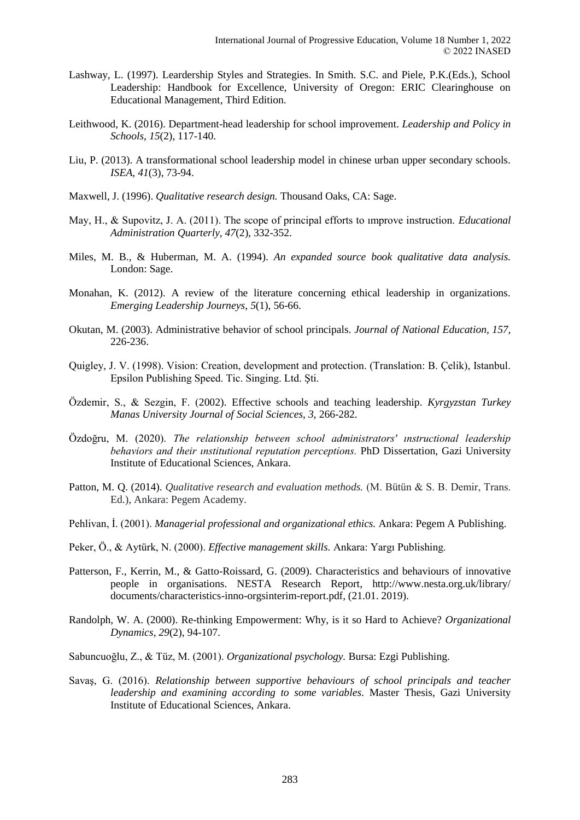- Lashway, L. (1997). Leardership Styles and Strategies. In Smith. S.C. and Piele, P.K.(Eds.), School Leadership: Handbook for Excellence, University of Oregon: ERIC Clearinghouse on Educational Management, Third Edition.
- Leithwood, K. (2016). Department-head leadership for school improvement. *Leadership and Policy in Schools, 15*(2), 117-140.
- Liu, P. (2013). A transformational school leadership model in chinese urban upper secondary schools. *ISEA*, *41*(3), 73-94.
- Maxwell, J. (1996). *Qualitative research design.* Thousand Oaks, CA: Sage.
- May, H., & Supovitz, J. A. (2011). The scope of principal efforts to ımprove instruction. *Educational Administration Quarterly, 47*(2), 332-352.
- Miles, M. B., & Huberman, M. A. (1994). *An expanded source book qualitative data analysis.*  London: Sage.
- Monahan, K. (2012). A review of the literature concerning ethical leadership in organizations. *Emerging Leadership Journeys*, *5*(1), 56-66.
- Okutan, M. (2003). Administrative behavior of school principals. *Journal of National Education, 157,* 226-236.
- Quigley, J. V. (1998). Vision: Creation, development and protection. (Translation: B. Çelik), Istanbul. Epsilon Publishing Speed. Tic. Singing. Ltd. Şti.
- Özdemir, S., & Sezgin, F. (2002). Effective schools and teaching leadership. *Kyrgyzstan Turkey Manas University Journal of Social Sciences, 3,* 266-282.
- Özdoğru, M. (2020). *The relationship between school administrators' ınstructional leadership behaviors and their institutional reputation perceptions.* PhD Dissertation, Gazi University Institute of Educational Sciences, Ankara.
- Patton, M. Q. (2014). *Qualitative research and evaluation methods.* (M. Bütün & S. B. Demir, Trans. Ed.), Ankara: Pegem Academy.
- Pehlivan, İ. (2001). *Managerial professional and organizational ethics.* Ankara: Pegem A Publishing.
- Peker, Ö., & Aytürk, N. (2000). *Effective management skills.* Ankara: Yargı Publishing.
- Patterson, F., Kerrin, M., & Gatto-Roissard, G. (2009). Characteristics and behaviours of innovative people in organisations. NESTA Research Report, http://www.nesta.org.uk/library/ documents/characteristics-inno-orgsinterim-report.pdf, (21.01. 2019).
- Randolph, W. A. (2000). Re-thinking Empowerment: Why, is it so Hard to Achieve? *Organizational Dynamics, 29*(2), 94-107.
- Sabuncuoğlu, Z., & Tüz, M. (2001). *Organizational psychology.* Bursa: Ezgi Publishing.
- Savaş, G. (2016). *Relationship between supportive behaviours of school principals and teacher leadership and examining according to some variables.* Master Thesis, Gazi University Institute of Educational Sciences, Ankara.